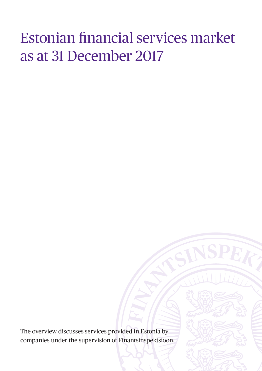# Estonian financial services market as at 31 December 2017

The overview discusses services provided in Estonia by companies under the supervision of Finantsinspektsioon.

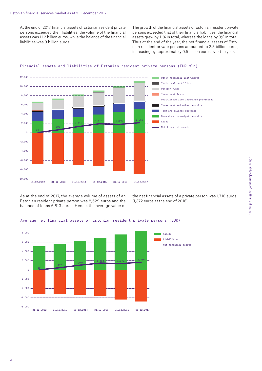At the end of 2017, financial assets of Estonian resident private persons exceeded their liabilities: the volume of the financial assets was 11.2 billion euros, while the balance of the financial liabilities was 9 billion euros.

The growth of the financial assets of Estonian resident private persons exceeded that of their financial liabilities: the financial assets grew by 11% in total, whereas the loans by 8% in total. Thus at the end of the year, the net financial assets of Estonian resident private persons amounted to 2.3 billion euros, increasing by approximately 0.5 billion euros over the year.



#### Financial assets and liabilities of Estonian resident private persons (EUR mln)

As at the end of 2017, the average volume of assets of an Estonian resident private person was 8,529 euros and the balance of loans 6,813 euros. Hence, the average value of

the net financial assets of a private person was 1,716 euros (1,372 euros at the end of 2016).

#### Average net financial assets of Estonian resident private persons (EUR)

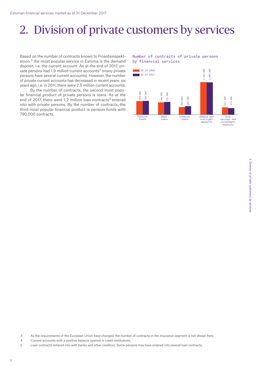### 2. Division of private customers by services

Based on the number of contracts known to Finantsinspektsioon, $3$  the most popular service in Estonia is the demand deposit, i.e. the current account. As at the end of 2017, private persons had 1.9 million current accounts<sup>4</sup> (many private persons have several current accounts). However, the number of private current accounts has decreased in recent years: six years ago, i.e. in 2011, there were 2.5 million current accounts.

By the number of contracts, the second most popular financial product of private persons is loans. As at the end of 2017, there were 1.2 million loan contracts<sup>5</sup> entered into with private persons. By the number of contracts, the third most popular financial product is pension funds with 790,000 contracts.

#### Number of contracts of private persons by financial services



3 As the requirements of the European Union have changed, the number of contracts in the insurance segment is not shown here.

4 Current accounts with a positive balance opened in credit institutions.

<sup>5</sup> Loan contracts entered into with banks and other creditors. Some persons may have entered into several loan contracts.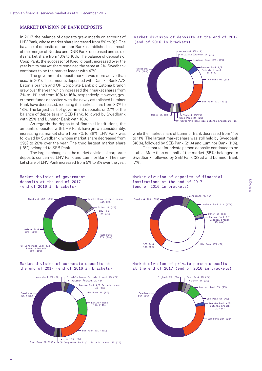#### MARKET DIVISION OF BANK DEPOSITS

In 2017, the balance of deposits grew mostly on account of LHV Pank, whose market share increased from 5% to 9%. The balance of deposits of Luminor Bank, established as a result of the merger of Nordea and DNB Pank, decreased and so did its market share from 13% to 10%. The balance of deposits of Coop Pank, the successor of Krediidipank, increased over the year but its market share remained the same at 2%. Swedbank continues to be the market leader with 47%.

The government deposit market was more active than usual in 2017. The amounts deposited with Danske Bank A/S Estonia branch and OP Corporate Bank plc Estonia branch grew over the year, which increased their market shares from 3% to 11% and from 10% to 16%, respectively. However, government funds deposited with the newly established Luminor Bank have decreased, reducing its market share from 33% to 18%. The largest part of government deposits, or 27% of the balance of deposits is in SEB Pank, followed by Swedbank with 25% and Luminor Bank with 18%.

As regards the deposits of financial institutions, the amounts deposited with LHV Pank have grown considerably, increasing its market share from 7% to 38%. LHV Pank was followed by Swedbank, whose market share decreased from 39% to 26% over the year. The third largest market share (18%) belonged to SEB Pank.

The largest changes in the market division of corporate deposits concerned LHV Pank and Luminor Bank. The market share of LHV Pank increased from 5% to 8% over the year,



Market division of deposits at the end of 2017

(end of 2016 in brackets)

while the market share of Luminor Bank decreased from 14% to 11%. The largest market share was still held by Swedbank (46%), followed by SEB Pank (21%) and Luminor Bank (11%).

The market for private person deposits continued to be stable. More than one half of the market (55%) belonged to Swedbank, followed by SEB Pank (23%) and Luminor Bank  $(7%)$ 



### Market division of government deposits at the end of 2017



#### Market division of corporate deposits at the end of 2017 (end of 2016 in brackets)



Market division of deposits of financial institutions at the end of 2017 (end of 2016 in brackets)



Market division of private person deposits at the end of 2017 (end of 2016 in brackets)

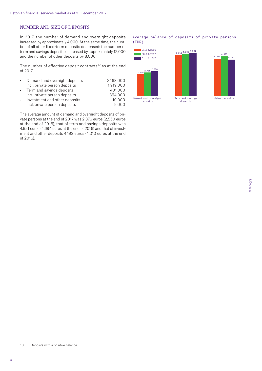#### NUMBER AND SIZE OF DEPOSITS

In 2017, the number of demand and overnight deposits increased by approximately 4,000. At the same time, the number of all other fixed-term deposits decreased: the number of term and savings deposits decreased by approximately 12,000 and the number of other deposits by 8,000.

The number of effective deposit contracts<sup>10</sup> as at the end of 2017:

| $\bullet$ | Demand and overnight deposits | 2.168.000 |
|-----------|-------------------------------|-----------|
|           | incl. private person deposits | 1,919,000 |
| $\bullet$ | Term and savings deposits     | 401,000   |
|           | incl. private person deposits | 394,000   |
| $\bullet$ | Investment and other deposits | 10,000    |
|           | incl. private person deposits | 9.000     |

The average amount of demand and overnight deposits of private persons at the end of 2017 was 2,876 euros (2,550 euros at the end of 2016), that of term and savings deposits was 4,921 euros (4,694 euros at the end of 2016) and that of investment and other deposits 4,193 euros (4,310 euros at the end of 2016).



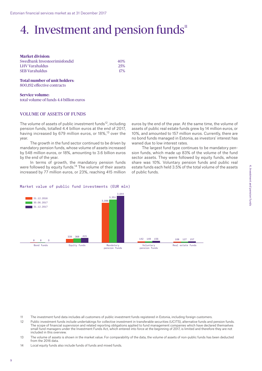### 4. Investment and pension funds<sup>11</sup>

| <b>Market division:</b>      |            |  |
|------------------------------|------------|--|
| Swedbank Investeerimisfondid | 40%        |  |
| LHV Varahaldus               | <b>25%</b> |  |
| <b>SEB Varahaldus</b>        | $17\%$     |  |

#### **Total number of unit holders**: 800,192 effective contracts

**Service volume:** total volume of funds 4.4 billion euros

#### VOLUME OF ASSETS OF FUNDS

The volume of assets of public investment funds<sup>12</sup>, including pension funds, totalled 4.4 billion euros at the end of 2017, having increased by 679 million euros, or 18%,<sup>13</sup> over the year.

The growth in the fund sector continued to be driven by mandatory pension funds, whose volume of assets increased by 548 million euros, or 18%, amounting to 3.6 billion euros by the end of the year.

In terms of growth, the mandatory pension funds were followed by equity funds.14 The volume of their assets increased by 77 million euros, or 23%, reaching 415 million euros by the end of the year. At the same time, the volume of assets of public real estate funds grew by 14 million euros, or 10%, and amounted to 157 million euros. Currently, there are no bond funds managed in Estonia, as investors' interest has waned due to low interest rates.

The largest fund type continues to be mandatory pension funds, which made up 83% of the volume of the fund sector assets. They were followed by equity funds, whose share was 10%. Voluntary pension funds and public real estate funds each held 3.5% of the total volume of the assets of public funds.





- 12 Public investment funds include undertakings for collective investment in transferable securities (UCITS), alternative funds and pension funds. The scope of financial supervision and related reporting obligations applied to fund management companies which have declared themselves small fund managers under the Investment Funds Act, which entered into force at the beginning of 2017, is limited and therefore they are not included in this overview.
- 13 The volume of assets is shown in the market value. For comparability of the data, the volume of assets of non-public funds has been deducted from the 2016 data.
- 14 Local equity funds also include funds of funds and mixed funds.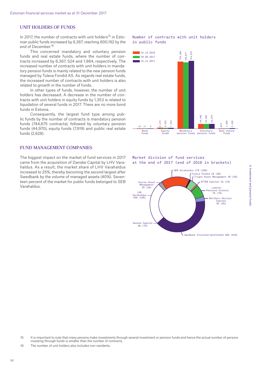#### UNIT HOLDERS OF FUNDS

In 2017, the number of contracts with unit holders<sup>15</sup> in Estonian public funds increased by 6,367, reaching 800,192 by the end of December.<sup>16</sup>

This concerned mandatory and voluntary pension funds and real estate funds, where the number of contracts increased by 6,367, 524 and 1,984, respectively. The increased number of contracts with unit holders in mandatory pension funds is mainly related to the new pension funds managed by Tuleva Fondid AS. As regards real estate funds, the increased number of contracts with unit holders is also related to growth in the number of funds.

In other types of funds, however, the number of unit holders has decreased. A decrease in the number of contracts with unit holders in equity funds by 1,353 is related to liquidation of several funds in 2017. There are no more bond funds in Estonia.

Consequently, the largest fund type among public funds by the number of contracts is mandatory pension funds (744,675 contracts), followed by voluntary pension funds (44,970), equity funds (7,919) and public real estate funds (2,628).

#### FUND MANAGEMENT COMPANIES

The biggest impact on the market of fund services in 2017 came from the acquisition of Danske Capital by LHV Varahaldus. As a result, the market share of LHV Varahaldus increased to 25%, thereby becoming the second largest after Swedbank by the volume of managed assets (40%). Seventeen percent of the market for public funds belonged to SEB Varahaldus.

#### Number of contracts with unit holders in public funds





 $\mathsf{\mathsf{L}}$  Swedbank Investeerimisfondid 40% (41%)

15 It is important to note that many persons make investments through several investment or pension funds and hence the actual number of persons investing through funds is smaller than the number of contracts.

16 The number of unit holders also includes non-residents.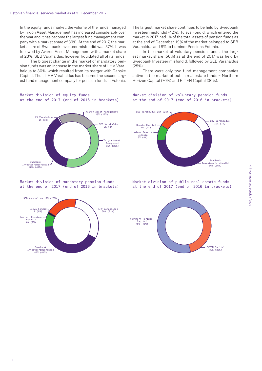In the equity funds market, the volume of the funds managed by Trigon Asset Management has increased considerably over the year and it has become the largest fund management company with a market share of 39%. At the end of 2017, the market share of Swedbank Investeerimisfondid was 37%. It was followed by Avaron Asset Management with a market share of 23%. SEB Varahaldus, however, liquidated all of its funds.

The biggest change in the market of mandatory pension funds was an increase in the market share of LHV Varahaldus to 30%, which resulted from its merger with Danske Capital. Thus, LHV Varahaldus has become the second largest fund management company for pension funds in Estonia. The largest market share continues to be held by Swedbank Investeerimisfondid (42%). Tuleva Fondid, which entered the market in 2017, had 1% of the total assets of pension funds as at the end of December. 19% of the market belonged to SEB Varahaldus and 8% to Luminor Pensions Estonia.

In the market of voluntary pension funds, the largest market share (56%) as at the end of 2017 was held by Swedbank Investeerimisfondid, followed by SEB Varahaldus (25%).

There were only two fund management companies active in the market of public real estate funds – Northern Horizon Capital (70%) and EfTEN Capital (30%).





#### Market division of mandatory pension funds at the end of 2017 (end of 2016 in brackets)



#### Market division of voluntary pension funds at the end of 2017 (end of 2016 in brackets)



Market division of public real estate funds at the end of 2017 (end of 2016 in brackets)

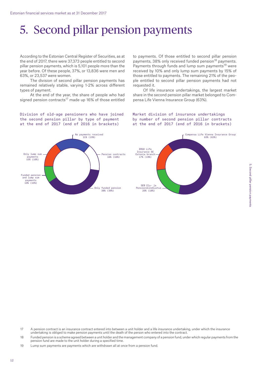# 5. Second pillar pension payments

According to the Estonian Central Register of Securities, as at the end of 2017, there were 37,373 people entitled to second pillar pension payments, which is 5,101 people more than the year before. Of these people, 37%, or 13,836 were men and 63%, or 23,537 were women.

The division of second pillar pension payments has remained relatively stable, varying 1-2% across different types of payment.

At the end of the year, the share of people who had signed pension contracts<sup>17</sup> made up 16% of those entitled

Division of old-age pensioners who have joined the second pension pillar by type of payment at the end of 2017 (end of 2016 in brackets)



to payments. Of those entitled to second pillar pension payments, 38% only received funded pension<sup>18</sup> payments. Payments through funds and lump sum payments<sup>19</sup> were received by 10% and only lump sum payments by 15% of those entitled to payments. The remaining 21% of the people entitled to second pillar pension payments had not requested it.

Of life insurance undertakings, the largest market share in the second pension pillar market belonged to Compensa Life Vienna Insurance Group (63%).

#### Market division of insurance undertakings by number of second pension pillar contracts at the end of 2017 (end of 2016 in brackets)



- 17 A pension contract is an insurance contract entered into between a unit holder and a life insurance undertaking, under which the insurance undertaking is obliged to make pension payments until the death of the person who entered into the contract.
- 18 Funded pension is a scheme agreed between a unit holder and the management company of a pension fund, under which regular payments from the pension fund are made to the unit holder during a specified time.

19 Lump sum payments are payments which are withdrawn all at once from a pension fund.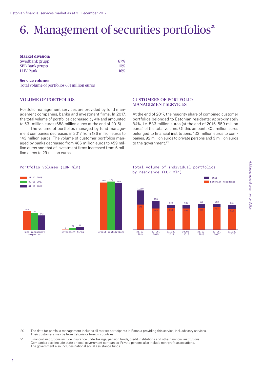## 6. Management of securities portfolios $20$

| <b>Market division:</b> |     |
|-------------------------|-----|
| Swedbank grupp          | 67% |
| <b>SEB Bank grupp</b>   | 10% |
| LHV Pank                | 16% |

#### **Service volume:**

Total volume of portfolios 631 million euros

#### VOLUME OF PORTFOLIOS

Portfolio management services are provided by fund management companies, banks and investment firms. In 2017, the total volume of portfolios decreased by 4% and amounted to 631 million euros (658 million euros at the end of 2016).

The volume of portfolios managed by fund management companies decreased in 2017 from 186 million euros to 143 million euros. The volume of customer portfolios managed by banks decreased from 466 million euros to 459 million euros and that of investment firms increased from 6 million euros to 29 million euros.

#### CUSTOMERS OF PORTFOLIO MANAGEMENT SERVICES

At the end of 2017, the majority share of combined customer portfolios belonged to Estonian residents: approximately 84%, i.e. 533 million euros (at the end of 2016, 559 million euros) of the total volume. Of this amount, 305 million euros belonged to financial institutions, 133 million euros to companies, 92 million euros to private persons and 3 million euros to the government.<sup>21</sup>

#### Portfolio volumes (EUR mln)



#### Total volume of individual portfolios by residence (EUR mln)



- 20 The data for portfolio management includes all market participants in Estonia providing this service, incl. advisory services. Their customers may be from Estonia or foreign countries.
- 21 Financial institutions include insurance undertakings, pension funds, credit institutions and other financial institutions. Companies also include state or local government companies. Private persons also include non-profit associations. The government also includes national social assistance funds.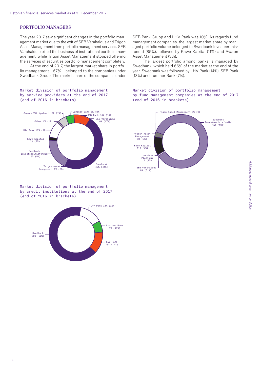#### PORTFOLIO MANAGERS

The year 2017 saw significant changes in the portfolio management market due to the exit of SEB Varahaldus and Trigon Asset Management from portfolio management services. SEB Varahaldus exited the business of institutional portfolio management, while Trigon Asset Management stopped offering the services of securities portfolio management completely.

At the end of 2017, the largest market share in portfolio management – 67% – belonged to the companies under Swedbank Group. The market share of the companies under

#### Market division of portfolio management by service providers at the end of 2017 (end of 2016 in brackets)



Market division of portfolio management by credit institutions at the end of 2017 (end of 2016 in brackets)



SEB Pank Grupp and LHV Pank was 10%. As regards fund management companies, the largest market share by managed portfolio volume belonged to Swedbank Investeerimisfondid (85%), followed by Kawe Kapital (11%) and Avaron Asset Management (3%).

The largest portfolio among banks is managed by Swedbank, which held 66% of the market at the end of the year. Swedbank was followed by LHV Pank (14%), SEB Pank (13%) and Luminor Bank (7%).

#### Market division of portfolio management by fund management companies at the end of 2017 (end of 2016 in brackets)

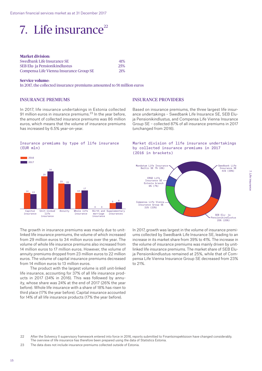

| <b>Market division:</b>                 |            |
|-----------------------------------------|------------|
| Swedbank Life Insurance SE              | 41%        |
| SEB Elu- ja Pensionikindlustus          | 25%        |
| Compensa Life Vienna Insurance Group SE | <b>21%</b> |

#### **Service volume:**

14

Capital insurance

13

■ 2016 2017

In 2017, the collected insurance premiums amounted to 91 million euros

#### INSURANCE PREMIUMS

In 2017, life insurance undertakings in Estonia collected 91 million euros in insurance premiums. $23$  In the year before, the amount of collected insurance premiums was 86 million euros, which means that the volume of insurance premiums has increased by 6.5% year-on-year.

#### Insurance premiums by type of life insurance (EUR mln)

23

22

34

Unit-linked Annuity  $1.46$ insurance

29



Based on insurance premiums, the three largest life insurance undertakings – Swedbank Life Insurance SE, SEB Eluja Pensionikindlustus, and Compensa Life Vienna Insurance Group SE – collected 87% of all insurance premiums in 2017 (unchanged from 2016).





The growth in insurance premiums was mainly due to unitlinked life insurance premiums, the volume of which increased from 29 million euros to 34 million euros over the year. The volume of whole life insurance premiums also increased from 14 million euros to 17 million euros. However, the volume of annuity premiums dropped from 23 million euros to 22 million euros. The volume of capital insurance premiums decreased from 14 million euros to 13 million euros.

14

Whole life whoie iin<br>insurance

17

5

insurances

Birth and Supplementary

6

0

sinum an.<br><mark>marriag</mark>e marria<br>insuran

The product with the largest volume is still unit-linked life insurance, accounting for 37% of all life insurance products in 2017 (34% in 2016). This was followed by annuity, whose share was 24% at the end of 2017 (26% the year before). Whole life insurance with a share of 18% has risen to third place (17% the year before). Capital insurance accounted for 14% of all life insurance products (17% the year before).

In 2017, growth was largest in the volume of insurance premiums collected by Swedbank Life Insurance SE, leading to an increase in its market share from 39% to 41%. The increase in the volume of insurance premiums was mainly driven by unitlinked life insurance premiums. The market share of SEB Eluja Pensionikindlustus remained at 25%, while that of Compensa Life Vienna Insurance Group SE decreased from 23% to 21%.

23 The data does not include insurance premiums collected outside of Estonia.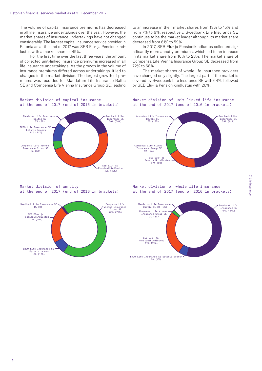The volume of capital insurance premiums has decreased in all life insurance undertakings over the year. However, the market shares of insurance undertakings have not changed considerably. The largest capital insurance service provider in Estonia as at the end of 2017 was SEB Elu- ja Pensionikindlustus with a market share of 49%.

For the first time over the last three years, the amount of collected unit-linked insurance premiums increased in all life insurance undertakings. As the growth in the volume of insurance premiums differed across undertakings, it led to changes in the market division. The largest growth of premiums was recorded for Mandatum Life Insurance Baltic SE and Compensa Life Vienna Insurance Group SE, leading

#### Market division of capital insurance at the end of 2017 (end of 2016 in brackets)



Market division of annuity at the end of 2017 (end of 2016 in brackets)



to an increase in their market shares from 13% to 15% and from 7% to 9%, respectively. Swedbank Life Insurance SE continues to be the market leader although its market share decreased from 61% to 59%.

In 2017, SEB Elu- ja Pensionikindlustus collected significantly more annuity premiums, which led to an increase in its market share from 16% to 23%. The market share of Compensa Life Vienna Insurance Group SE decreased from 72% to 68%.

The market shares of whole life insurance providers have changed only slightly. The largest part of the market is covered by Swedbank Life Insurance SE with 64%, followed by SEB Elu- ja Pensionikindlustus with 26%.

#### Market division of unit-linked life insurance at the end of 2017 (end of 2016 in brackets)



Market division of whole life insurance at the end of 2017 (end of 2016 in brackets)

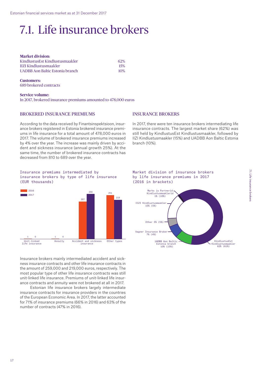# 7.1. Life insurance brokers

| <b>Market division:</b>         |     |
|---------------------------------|-----|
| KindlustusEst Kindlustusmaakler | 62% |
| <b>IIZI Kindlustusmaakler</b>   | 15% |
| UADBB Aon Baltic Estonia branch | 10% |

**Customers:** 689 brokered contracts

**Service volume:** In 2017, brokered insurance premiums amounted to 478,000 euros

#### BROKERED INSURANCE PREMIUMS

According to the data received by Finantsinspektsioon, insurance brokers registered in Estonia brokered insurance premiums in life insurance for a total amount of 478,000 euros in 2017. The volume of brokered insurance premiums increased by 4% over the year. The increase was mainly driven by accident and sickness insurance (annual growth 25%). At the same time, the number of brokered insurance contracts has decreased from 810 to 689 over the year.

#### INSURANCE BROKERS

In 2017, there were ten insurance brokers intermediating life insurance contracts. The largest market share (62%) was still held by KindlustusEst Kindlustusmaakler, followed by IIZI Kindlustusmaakler (15%) and UADBB Aon Baltic Estonia branch (10%).

Insurance premiums intermediated by insurance brokers by type of life insurance (EUR thousands)



Insurance brokers mainly intermediated accident and sickness insurance contracts and other life insurance contracts in the amount of 259,000 and 219,000 euros, respectively. The most popular type of other life insurance contracts was still unit-linked life insurance. Premiums of unit-linked life insurance contracts and annuity were not brokered at all in 2017.

Estonian life insurance brokers largely intermediate insurance contracts for insurance providers in the countries of the European Economic Area. In 2017, the latter accounted for 71% of insurance premiums (66% in 2016) and 63% of the number of contracts (47% in 2016).



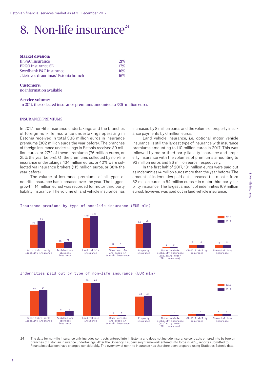### 8. Non-life insurance $^{24}$

| <b>Market division:</b>             |     |
|-------------------------------------|-----|
| IF P&C Insurance                    | 21% |
| <b>ERGO Insurance SE</b>            | 17% |
| Swedbank P&C Insurance              | 16% |
| "Lietuvos draudimas" Estonia branch | 16% |

#### **Customers:**  no information available

#### **Service volume:**

In 2017, the collected insurance premiums amounted to 336 million euros

#### INSURANCE PREMIUMS

In 2017, non-life insurance undertakings and the branches of foreign non-life insurance undertakings operating in Estonia received in total 336 million euros in insurance premiums (302 million euros the year before). The branches of foreign insurance undertakings in Estonia received 89 million euros, or 27% of these premiums (76 million euros, or 25% the year before). Of the premiums collected by non-life insurance undertakings, 134 million euros, or 40% were collected via insurance brokers (115 million euros, or 38% the year before).

The volume of insurance premiums of all types of non-life insurance has increased over the year. The biggest growth (14 million euros) was recorded for motor third party liability insurance. The volume of land vehicle insurance has increased by 8 million euros and the volume of property insurance payments by 6 million euros.

Land vehicle insurance, i.e. optional motor vehicle insurance, is still the largest type of insurance with insurance premiums amounting to 110 million euros in 2017. This was followed by motor third party liability insurance and property insurance with the volumes of premiums amounting to 93 million euros and 86 million euros, respectively.

In the first half of 2017, 181 million euros were paid out as indemnities (4 million euros more than the year before). The amount of indemnities paid out increased the most – from 52 million euros to 54 million euros – in motor third party liability insurance. The largest amount of indemnities (69 million euros), however, was paid out in land vehicle insurance.



### Insurance premiums by type of non-life insurance (EUR mln)

Indemnities paid out by type of non-life insurance (EUR mln)



24 The data for non-life insurance only includes contracts entered into in Estonia and does not include insurance contracts entered into by foreign branches of Estonian insurance undertakings. After the Solvency II supervisory framework entered into force in 2016, reports submitted to Finantsinspektsioon have changed considerably. The overview of non-life insurance has therefore been prepared using Statistics Estonia data.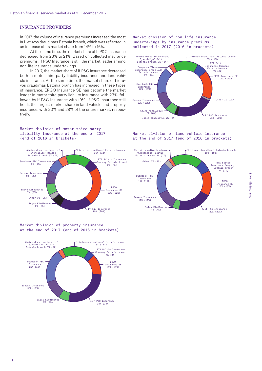#### INSURANCE PROVIDERS

In 2017, the volume of insurance premiums increased the most in Lietuvos draudimas Estonia branch, which was reflected in an increase of its market share from 14% to 16%.

At the same time, the market share of If P&C Insurance decreased from 23% to 21%. Based on collected insurance premiums, If P&C Insurance is still the market leader among non-life insurance undertakings.

In 2017, the market share of If P&C Insurance decreased both in motor third party liability insurance and land vehicle insurance. At the same time, the market share of Lietuvos draudimas Estonia branch has increased in these types of insurance. ERGO Insurance SE has become the market leader in motor third party liability insurance with 23%, followed by If P&C Insurance with 19%. If P&C Insurance still holds the largest market share in land vehicle and property insurance, with 20% and 28% of the entire market, respectively.

#### Market division of motor third party liability insurance at the end of 2017 (end of 2016 in brackets)



#### Market division of property insurance at the end of 2017 (end of 2016 in brackets)



#### Market division of non-life insurance undertakings by insurance premiums collected in 2017 (2016 in brackets)



#### Market division of land vehicle insurance at the end of 2017 (end of 2016 in brackets)

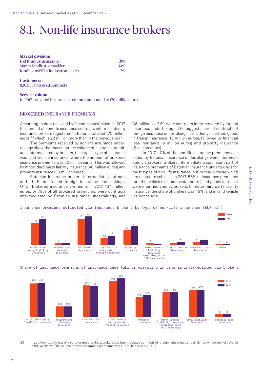### 8.1. Non-life insurance brokers

| <b>Market division:</b>         |     |
|---------------------------------|-----|
| IIZI Kindlustusmaakler          | 31% |
| Marsh Kindlustusmaakler         | 14% |
| KindlustusEST Kindlustusmaakler | 7%  |

**Customers:**  826,955 brokered contracts

#### **Service volume:** In 2017, brokered insurance premiums amounted to 170 million euros

#### BROKERED INSURANCE PREMIUMS

According to data received by Finantsinspektsioon, in 2017, the amount of non-life insurance contracts intermediated by insurance brokers registered in Estonia totalled 170 million euros,<sup>25</sup> which is 22 million more than in the previous year.

The premiums received by non-life insurance undertakings show that based on the volume of insurance premiums intermediated by brokers, the largest type of insurance was land vehicle insurance, where the amount of brokered insurance premiums was 50 million euros. This was followed by motor third party liability insurance (46 million euros) and property insurance (33 million euros).

Estonian insurance brokers intermediate contracts of both Estonian and foreign insurance undertakings. Of all brokered insurance premiums in 2017, 134 million euros, or 79% of all brokered premiums, were contracts intermediated by Estonian insurance undertakings, and

36 million, or 21%, were contracts intermediated by foreign insurance undertakings. The biggest share of contracts of foreign insurance undertakings is in other vehicle and goods in transit insurance (15 million euros), followed by financial loss insurance (9 million euros) and property insurance (6 million euros).

In 2017, 40% of the non-life insurance premiums collected by Estonian insurance undertakings were intermediated via brokers. Brokers intermediate a significant part of insurance premiums of Estonian insurance undertakings for most types of non-life insurance, but primarily those which are related to vehicles. In 2017, 56% of insurance premiums for other vehicles (air and water crafts) and goods in transit were intermediated by brokers. In motor third party liability insurance, the share of brokers was 49%, and in land vehicle insurance 45%.

#### Insurance premiums collected via insurance brokers by type of non-life insurance (EUR mln)







25 In addition to contracts of insurance undertakings, brokers also intermediated contracts of foreign reinsurance undertakings, which are not covered in this overview. The volume of these insurance premiums was 11.7 million euros in 2017.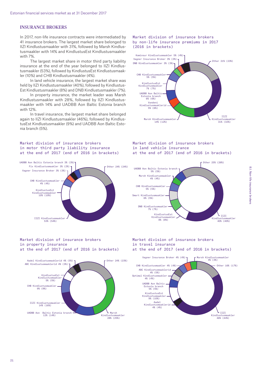#### INSURANCE BROKERS

In 2017, non-life insurance contracts were intermediated by 41 insurance brokers. The largest market share belonged to IIZI Kindlustusmaakler with 31%, followed by Marsh Kindlustusmaakler with 14% and KindlustusEst Kindlustusmaakler with 7%.

The largest market share in motor third party liability insurance at the end of the year belonged to IIZI Kindlustusmaakler (53%), followed by KindlustusEst Kindlustusmaakler (10%) and CHB Kindlustusmaakler (4%).

In land vehicle insurance, the largest market share was held by IIZI Kindlustusmaakler (40%), followed by Kindlustus-Est Kindlustusmaakler (8%) and DNB Kindlustusmaakler (7%).

In property insurance, the market leader was Marsh Kindlustusmaakler with 28%, followed by IIZI Kindlustusmaakler with 14% and UADBB Aon Baltic Estonia branch with 12%.

In travel insurance, the largest market share belonged again to IIZI Kindlustusmaakler (46%), followed by KindlustusEst Kindlustusmaakler (9%) and UADBB Aon Baltic Estonia branch (5%).

#### Market division of insurance brokers in motor third party liability insurance at the end of 2017 (end of 2016 in brackets)

UADB Ann Baltic Estonia branch 3% (3%)

Fix Kindlustusmaakler 3% (2%)

UADBB Aon Baltic Estonia branch 3% (3%)

CHB Kindlustusmaakler **3** 

IIZI Kindlustusmaakler 53% (54%)

Kindlustusmaakler —<br>10% (10%)

KindlustusEst

VAD NINGIUS LUSMAAKIER 3

Vagner Insurance Broker 3% (3%)

4% (4%)





#### Market division of insurance brokers in land vehicle insurance at the end of 2017 (end of 2016 in brackets)



#### Market division of insurance brokers in property insurance at the end of 2017 (end of 2016 in brackets)



#### Market division of insurance brokers in travel insurance at the end of 2017 (end of 2016 in brackets)

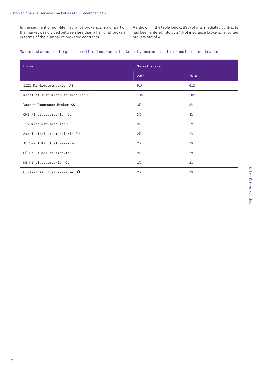In the segment of non-life insurance brokers, a major part of the market was divided between less than a half of all brokers in terms of the number of brokered contracts.

As shown in the table below, 89% of intermediated contracts had been entered into by 24% of insurance brokers, i.e. by ten brokers out of 41.

#### Market shares of largest non-life insurance brokers by number of intermediated contracts

| <b>Broker</b>                      | Market share |      |  |
|------------------------------------|--------------|------|--|
|                                    | 2017         | 2016 |  |
| IIZI Kindlustusmaakler AS          | 61%          | 61%  |  |
| KindlustusEst Kindlustusmaakler OÜ | 10%          | 10%  |  |
| Vagner Insurance Broker AS         | 3%           | 3%   |  |
| CHB Kindlustusmaakler OÜ           | 3%           | 3%   |  |
| Fix Kindlustusmaakler OÜ           | 2%           | 1%   |  |
| Aadel Kindlustusmaaklerid OÜ       | 2%           | 2%   |  |
| AS Smart Kindlustusmaakler         | 2%           | 2%   |  |
| OÜ DnB Kindlustusmaakler           | 2%           | 2%   |  |
| NB Kindlustusmaakler OÜ            | 2%           | 2%   |  |
| Optimal Kindlustusmaakler OÜ       | 2%           | 2%   |  |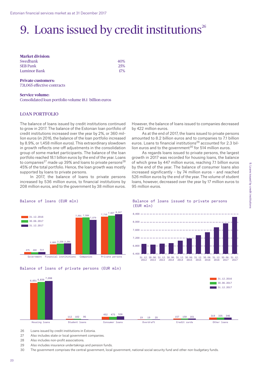### 9. Loans issued by credit institutions $26$

| <b>Market division:</b> |     |
|-------------------------|-----|
| Swedbank                | 40% |
| SEB Pank                | 25% |
| Luminor Bank            | 17% |
|                         |     |

**Private customers:**  731,065 effective contracts

#### **Service volume:** Consolidated loan portfolio volume 18.1 billion euros

#### LOAN PORTFOLIO

The balance of loans issued by credit institutions continued to grow in 2017. The balance of the Estonian loan portfolio of credit institutions increased over the year by 2%, or 360 million euros (in 2016, the balance of the loan portfolio increased by 8.9%, or 1,458 million euros). This extraordinary slowdown in growth reflects one-off adjustments in the consolidation group of some market participants. The balance of the loan portfolio reached 18.1 billion euros by the end of the year. Loans to companies<sup>27</sup> made up 39% and loans to private persons<sup>28</sup> 45% of the total portfolio. Hence, the loan growth was mostly supported by loans to private persons.

In 2017, the balance of loans to private persons increased by 536 million euros, to financial institutions by 208 million euros, and to the government by 38 million euros. However, the balance of loans issued to companies decreased by 422 million euros.

As at the end of 2017, the loans issued to private persons amounted to 8.2 billion euros and to companies to 7.1 billion euros. Loans to financial institutions<sup>29</sup> accounted for 2.3 billion euros and to the government<sup>30</sup> for 514 million euros.

As regards loans issued to private persons, the largest growth in 2017 was recorded for housing loans, the balance of which grew by 447 million euros, reaching 7.1 billion euros by the end of the year. The balance of consumer loans also increased significantly – by 74 million euros – and reached 526 million euros by the end of the year. The volume of student loans, however, decreased over the year by 17 million euros to 95 million euros.



### Balance of loans (EUR mln)



Balance of loans issued to private persons (EUR mln)







26 Loans issued by credit institutions in Estonia.

27 Also includes state or local government companies.

28 Also includes non-profit associations.

29 Also includes insurance undertakings and pension funds.

30 The government comprises the central government, local government, national social security fund and other non-budgetary funds.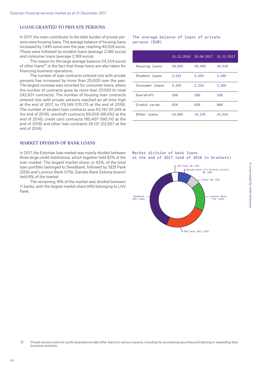#### LOANS GRANTED TO PRIVATE PERSONS

In 2017, the main contributor to the debt burden of private persons were housing loans. The average balance of housing loans increased by 1,445 euros over the year, reaching 40,528 euros. These were followed by student loans (average 2,180 euros) and consumer loans (average 2,169 euros).

The reason for the large average balance (14,334 euros) of other loans<sup>31</sup> is the fact that these loans are also taken for financing business operations.

The number of loan contracts entered into with private persons has increased by more than 25,000 over the year. The largest increase was recorded for consumer loans, where the number of contracts grew by more than 37,000 (in total 242,631 contracts). The number of housing loan contracts entered into with private persons reached an all-time high at the end of 2017, to 175,149 (170,175 at the end of 2016). The number of student loan contracts was 43,742 (51,249 at the end of 2016), overdraft contracts 60,005 (66,652 at the end of 2016), credit card contracts 185,407 (190,110 at the end of 2016) and other loan contracts 24,131 (22,657 at the end of 2016).

### MARKET DIVISION OF BANK LOANS

In 2017, the Estonian loan market was mainly divided between three large credit institutions, which together held 82% of the loan market. The largest market share, or 42%, of the total loan portfolio belonged to Swedbank, followed by SEB Pank (25%) and Luminor Bank (17%). Danske Bank Estonia branch held 8% of the market.

The remaining 18% of the market was divided between 11 banks, with the largest market share (4%) belonging to LHV Pank.

The average balance of loans of private persons (EUR)

|                | 31.12.2016 | 30.06.2017 | 31.12.2017 |
|----------------|------------|------------|------------|
| Housing loans  | 39,083     | 39,498     | 40,528     |
| Student loans  | 2,192      | 2,203      | 2,180      |
| Consumer loans | 2,203      | 2,210      | 2,169      |
| Overdraft      | 288        | 280        | 336        |
| Credit cards   | 828        | 839        | 866        |
| Other loans    | 14,083     | 14,139     | 14,334     |





SEB Pank 25% (23%)

<sup>31</sup> Private persons and non-profit associations take other loans for various reasons, including for purchasing securities and starting or expanding their business activities.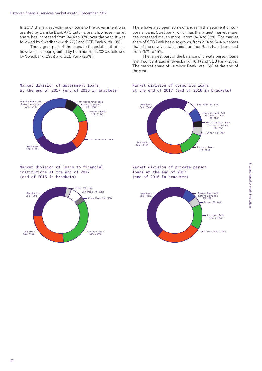In 2017, the largest volume of loans to the government was granted by Danske Bank A/S Estonia branch, whose market share has increased from 34% to 37% over the year. It was followed by Swedbank with 27% and SEB Pank with 18%.

The largest part of the loans to financial institutions, however, has been granted by Luminor Bank (32%), followed by Swedbank (29%) and SEB Pank (26%).

There have also been some changes in the segment of corporate loans. Swedbank, which has the largest market share, has increased it even more – from 34% to 38%. The market share of SEB Pank has also grown, from 21% to 24%, whereas that of the newly established Luminor Bank has decreased from 25% to 15%.

The largest part of the balance of private person loans is still concentrated in Swedbank (46%) and SEB Pank (27%). The market share of Luminor Bank was 15% at the end of the year.

#### Market division of corporate loans at the end of 2017 (end of 2016 in brackets)



Market division of private person loans at the end of 2017 (end of 2016 in brackets)



#### Market division of government loans at the end of 2017 (end of 2016 in brackets)



Market division of loans to financial institutions at the end of 2017 (end of 2016 in brackets)

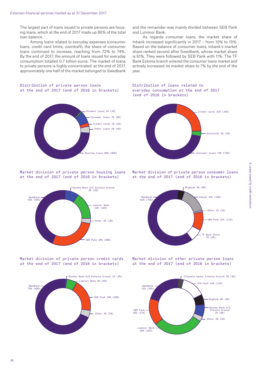The largest part of loans issued to private persons are housing loans, which at the end of 2017 made up 86% of the total loan balance.

Among loans related to everyday expenses (consumer loans, credit card limits, overdraft), the share of consumer loans continued to increase, reaching from 72% to 74%. By the end of 2017, the amount of loans issued for everyday consumption totalled 0.7 billion euros. The market of loans to private persons is highly concentrated: at the end of 2017, approximately one half of the market belonged to Swedbank

#### Distribution of private person loans at the end of 2017 (end of 2016 in brackets)



#### Market division of private person housing loans at the end of 2017 (end of 2016 in brackets)



Market division of private person credit cards at the end of 2017 (end of 2016 in brackets)



and the remainder was mainly divided between SEB Pank and Luminor Bank.

As regards consumer loans, the market share of Inbank increased significantly in 2017 – from 10% to 15%. Based on the balance of consumer loans, Inbank's market share ranked second after Swedbank, whose market share is 61%. They were followed by SEB Pank with 11%. The TF Bank Estonia branch entered the consumer loans market and actively increased its market share to 7% by the end of the year.

#### Distribution of loans related to everyday consumption at the end of 2017 (end of 2016 in brackets)



Market division of private person consumer loans at the end of 2017 (end of 2016 in brackets)



Market division of other private person loans at the end of 2017 (end of 2016 in brackets)

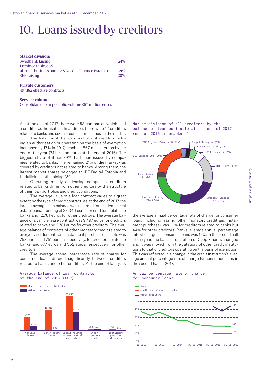### 10. Loans issued by creditors

| <b>Market division:</b>                          |            |
|--------------------------------------------------|------------|
| <b>Swedbank Liising</b>                          | 24%        |
| <b>Luminor Liising AS</b>                        |            |
| (former business name AS Nordea Finance Estonia) | 21%        |
| <b>SEB Liising</b>                               | <b>20%</b> |
|                                                  |            |

#### **Private customers:**

497,182 effective contracts

#### **Service volume:**

Consolidated loan portfolio volume 867 million euros

As at the end of 2017, there were 53 companies which held a creditor authorisation. In addition, there were 12 creditors related to banks and seven credit intermediaries on the market.

The balance of the loan portfolio of creditors holding an authorisation or operating on the basis of exemption increased by 17% in 2017, reaching 867 million euros by the end of the year (741 million euros at the end of 2016). The biggest share of it, i.e. 79%, had been issued by companies related to banks. The remaining 21% of the market was covered by creditors not related to banks. Among them, the largest market shares belonged to IPF Digital Estonia and Koduliising, both holding 3%.

Operating mostly as leasing companies, creditors related to banks differ from other creditors by the structure of their loan portfolios and credit conditions.

The average value of a loan contract varies to a great extent by the type of credit contract. As at the end of 2017, the largest average loan balance was recorded for residential real estate loans, standing at 23,340 euros for creditors related to banks and 12,781 euros for other creditors. The average balance of a vehicle lease contract was 9,497 euros for creditors related to banks and 2,781 euros for other creditors. The average balance of contracts of other monetary credit related to everyday settlements and instalment purchase of assets was 758 euros and 751 euros, respectively, for creditors related to banks, and 677 euros and 352 euros, respectively, for other creditors.

The average annual percentage rate of charge for consumer loans differed significantly between creditors related to banks and other creditors. At the end of last year,

#### Average balance of loan contracts at the end of 2017 (EUR)



Market division of all creditors by the balance of loan portfolio at the end of 2017 (end of 2016 in brackets)



the average annual percentage rate of charge for consumer loans (including leasing, other monetary credit and instalment purchase) was 10% for creditors related to banks but 44% for other creditors. Banks' average annual percentage rate of charge for consumer loans was 19%. In the second half of the year, the basis of operation of Coop Finants changed and it was moved from the category of other credit institutions to that of creditors operating on the basis of exemption. This was reflected in a change in the credit institution's average annual percentage rate of charge for consumer loans in the second half of 2017.

#### Annual percentage rate of charge for consumer loans

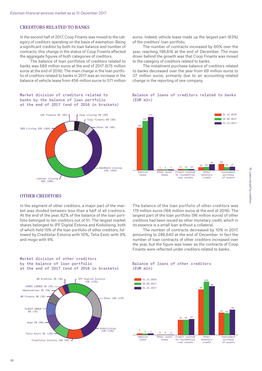#### CREDITORS RELATED TO BANKS

In the second half of 2017, Coop Finants was moved to the category of creditors operating on the basis of exemption. Being a significant creditor by both its loan balance and number of contracts, this change in the status of Coop Finants affected the aggregate figures of both categories of creditors.

The balance of loan portfolios of creditors related to banks was 689 million euros at the end of 2017 (575 million euros at the end of 2016). The main change in the loan portfolio of creditors related to banks in 2017 was an increase in the balance of vehicle lease from 456 million euros to 571 million

#### Market division of creditors related to banks by the balance of loan portfolio at the end of 2017 (end of 2016 in brackets)



#### euros. Indeed, vehicle lease made up the largest part (83%) of the creditors' loan portfolio.

The number of contracts increased by 60% over the year, reaching 198,616 at the end of December. The main driver behind the growth was that Coop Finants was moved to the category of creditors related to banks.

The instalment purchase balance of creditors related to banks decreased over the year from 69 million euros to 37 million euros, primarily due to an accounting-related change in the reporting of one company.

#### Balance of loans of creditors related to banks (EUR mln)



#### OTHER CREDITORS

In the segment of other creditors, a major part of the market was divided between less than a half of all creditors. At the end of the year, 82% of the balance of the loan portfolio belonged to ten creditors out of 51. The largest market shares belonged to IPF Digital Estonia and Koduliising, both of which held 15% of the loan portfolio of other creditors, followed by Creditstar Estonia with 10%, Telia Eesti with 9% and mogo with 9%.

The balance of the loan portfolio of other creditors was 179 million euros (166 million euros at the end of 2016). The largest part of the loan portfolio (96 million euros) of other creditors had been issued as other monetary credit, which in its essence is a small loan without a collateral.

The number of contracts decreased by 10% in 2017, amounting to 286,640 at the end of December. In fact the number of loan contracts of other creditors increased over the year, but the figure was lower as the contracts of Coop Finants were reflected under creditors related to banks.



Market division of other creditors by the balance of loan portfolio